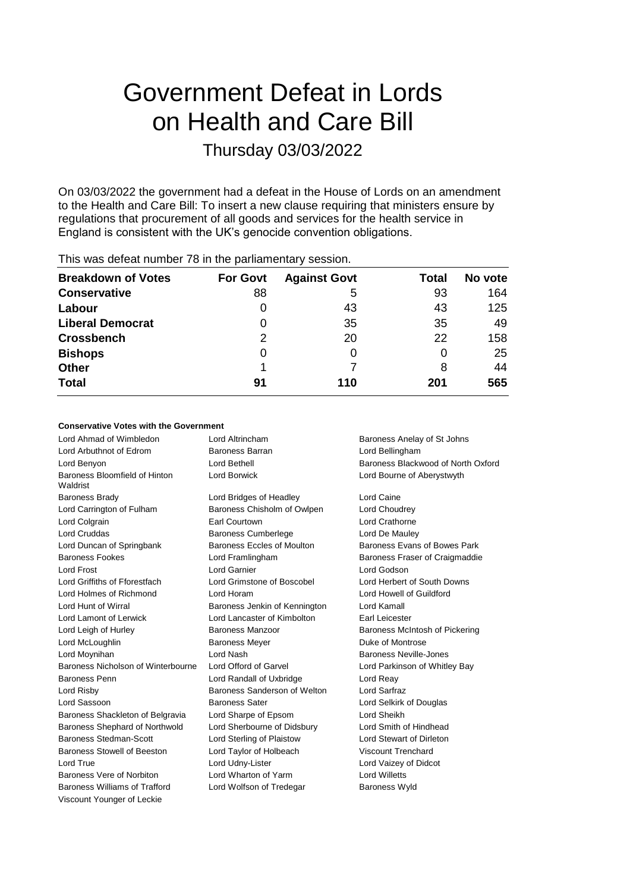# Government Defeat in Lords on Health and Care Bill

### Thursday 03/03/2022

On 03/03/2022 the government had a defeat in the House of Lords on an amendment to the Health and Care Bill: To insert a new clause requiring that ministers ensure by regulations that procurement of all goods and services for the health service in England is consistent with the UK's genocide convention obligations.

| This was abloat harnoof TV in the parliamentary cocolor. |                 |                     |       |         |
|----------------------------------------------------------|-----------------|---------------------|-------|---------|
| <b>Breakdown of Votes</b>                                | <b>For Govt</b> | <b>Against Govt</b> | Total | No vote |
| <b>Conservative</b>                                      | 88              | 5                   | 93    | 164     |
| Labour                                                   |                 | 43                  | 43    | 125     |
| <b>Liberal Democrat</b>                                  | 0               | 35                  | 35    | 49      |
| <b>Crossbench</b>                                        | 2               | 20                  | 22    | 158     |
| <b>Bishops</b>                                           | 0               |                     |       | 25      |
| <b>Other</b>                                             |                 |                     | 8     | 44      |
| <b>Total</b>                                             | 91              | 110                 | 201   | 565     |
|                                                          |                 |                     |       |         |

This was defeat number 78 in the parliamentary session.

#### **Conservative Votes with the Government**

| Lord Ahmad of Wimbledon                   | Lord Altrincham               | Baroness Anelay of St Johns        |
|-------------------------------------------|-------------------------------|------------------------------------|
| Lord Arbuthnot of Edrom                   | <b>Baroness Barran</b>        | Lord Bellingham                    |
| Lord Benyon                               | Lord Bethell                  | Baroness Blackwood of North Oxford |
| Baroness Bloomfield of Hinton<br>Waldrist | <b>Lord Borwick</b>           | Lord Bourne of Aberystwyth         |
| <b>Baroness Brady</b>                     | Lord Bridges of Headley       | Lord Caine                         |
| Lord Carrington of Fulham                 | Baroness Chisholm of Owlpen   | Lord Choudrey                      |
| Lord Colgrain                             | <b>Earl Courtown</b>          | Lord Crathorne                     |
| Lord Cruddas                              | <b>Baroness Cumberlege</b>    | Lord De Mauley                     |
| Lord Duncan of Springbank                 | Baroness Eccles of Moulton    | Baroness Evans of Bowes Park       |
| <b>Baroness Fookes</b>                    | Lord Framlingham              | Baroness Fraser of Craigmaddie     |
| Lord Frost                                | Lord Garnier                  | Lord Godson                        |
| Lord Griffiths of Fforestfach             | Lord Grimstone of Boscobel    | Lord Herbert of South Downs        |
| Lord Holmes of Richmond                   | Lord Horam                    | Lord Howell of Guildford           |
| Lord Hunt of Wirral                       | Baroness Jenkin of Kennington | Lord Kamall                        |
| Lord Lamont of Lerwick                    | Lord Lancaster of Kimbolton   | <b>Earl Leicester</b>              |
| Lord Leigh of Hurley                      | Baroness Manzoor              | Baroness McIntosh of Pickering     |
| Lord McLoughlin                           | <b>Baroness Meyer</b>         | Duke of Montrose                   |
| Lord Moynihan                             | Lord Nash                     | Baroness Neville-Jones             |
| Baroness Nicholson of Winterbourne        | Lord Offord of Garvel         | Lord Parkinson of Whitley Bay      |
| Baroness Penn                             | Lord Randall of Uxbridge      | Lord Reay                          |
| Lord Risby                                | Baroness Sanderson of Welton  | Lord Sarfraz                       |
| Lord Sassoon                              | <b>Baroness Sater</b>         | Lord Selkirk of Douglas            |
| Baroness Shackleton of Belgravia          | Lord Sharpe of Epsom          | Lord Sheikh                        |
| Baroness Shephard of Northwold            | Lord Sherbourne of Didsbury   | Lord Smith of Hindhead             |
| Baroness Stedman-Scott                    | Lord Sterling of Plaistow     | Lord Stewart of Dirleton           |
| Baroness Stowell of Beeston               | Lord Taylor of Holbeach       | <b>Viscount Trenchard</b>          |
| Lord True                                 | Lord Udny-Lister              | Lord Vaizey of Didcot              |
| Baroness Vere of Norbiton                 | Lord Wharton of Yarm          | <b>Lord Willetts</b>               |
| Baroness Williams of Trafford             | Lord Wolfson of Tredegar      | <b>Baroness Wyld</b>               |
| Viscount Younger of Leckie                |                               |                                    |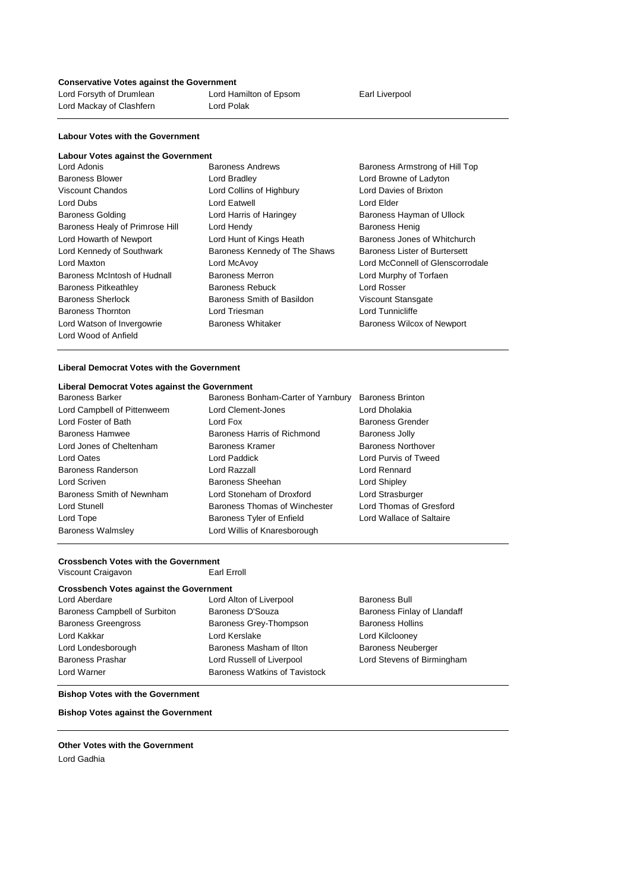#### **Conservative Votes against the Government**

| Lord Forsyth of Drumlean | Lord Hamilton of Epsom | Earl Liverpool |
|--------------------------|------------------------|----------------|
| Lord Mackay of Clashfern | Lord Polak             |                |
|                          |                        |                |

#### **Labour Votes with the Government**

### **Labour Votes against the Government**

| Lord Adonis                     | <b>Baroness Andrews</b>       | Baroness Armstrong of Hill Top   |
|---------------------------------|-------------------------------|----------------------------------|
| <b>Baroness Blower</b>          | Lord Bradley                  | Lord Browne of Ladyton           |
| Viscount Chandos                | Lord Collins of Highbury      | Lord Davies of Brixton           |
| Lord Dubs                       | Lord Eatwell                  | Lord Elder                       |
| <b>Baroness Golding</b>         | Lord Harris of Haringey       | Baroness Hayman of Ullock        |
| Baroness Healy of Primrose Hill | Lord Hendy                    | <b>Baroness Henig</b>            |
| Lord Howarth of Newport         | Lord Hunt of Kings Heath      | Baroness Jones of Whitchurch     |
| Lord Kennedy of Southwark       | Baroness Kennedy of The Shaws | Baroness Lister of Burtersett    |
| Lord Maxton                     | Lord McAvoy                   | Lord McConnell of Glenscorrodale |
| Baroness McIntosh of Hudnall    | <b>Baroness Merron</b>        | Lord Murphy of Torfaen           |
| <b>Baroness Pitkeathley</b>     | Baroness Rebuck               | Lord Rosser                      |
| <b>Baroness Sherlock</b>        | Baroness Smith of Basildon    | <b>Viscount Stansgate</b>        |
| <b>Baroness Thornton</b>        | Lord Triesman                 | Lord Tunnicliffe                 |
| Lord Watson of Invergowrie      | <b>Baroness Whitaker</b>      | Baroness Wilcox of Newport       |
| Lord Wood of Anfield            |                               |                                  |

#### **Liberal Democrat Votes with the Government**

#### **Liberal Democrat Votes against the Government**

| <b>Baroness Barker</b>      | Baroness Bonham-Carter of Yarnbury | <b>Baroness Brinton</b>   |
|-----------------------------|------------------------------------|---------------------------|
| Lord Campbell of Pittenweem | Lord Clement-Jones                 | Lord Dholakia             |
| Lord Foster of Bath         | Lord Fox                           | <b>Baroness Grender</b>   |
| Baroness Hamwee             | Baroness Harris of Richmond        | <b>Baroness Jolly</b>     |
| Lord Jones of Cheltenham    | Baroness Kramer                    | <b>Baroness Northover</b> |
| Lord Oates                  | Lord Paddick                       | Lord Purvis of Tweed      |
| Baroness Randerson          | Lord Razzall                       | Lord Rennard              |
| Lord Scriven                | Baroness Sheehan                   | Lord Shipley              |
| Baroness Smith of Newnham   | Lord Stoneham of Droxford          | Lord Strasburger          |
| Lord Stunell                | Baroness Thomas of Winchester      | Lord Thomas of Gresford   |
| Lord Tope                   | Baroness Tyler of Enfield          | Lord Wallace of Saltaire  |
| <b>Baroness Walmsley</b>    | Lord Willis of Knaresborough       |                           |
|                             |                                    |                           |

#### **Crossbench Votes with the Government<br>Viscount Craigavon Earl Erroll** Viscount Craigavon

#### **Crossbench Votes against the Government**

| Lord Aberdare                        | Lord Alton of Liverpool              | <b>Baroness Bull</b>        |
|--------------------------------------|--------------------------------------|-----------------------------|
| <b>Baroness Campbell of Surbiton</b> | <b>Baroness D'Souza</b>              | Baroness Finlay of Llandaff |
| <b>Baroness Greengross</b>           | Baroness Grey-Thompson               | <b>Baroness Hollins</b>     |
| Lord Kakkar                          | Lord Kerslake                        | Lord Kilclooney             |
| Lord Londesborough                   | Baroness Masham of Ilton             | <b>Baroness Neuberger</b>   |
| <b>Baroness Prashar</b>              | Lord Russell of Liverpool            | Lord Stevens of Birmingham  |
| Lord Warner                          | <b>Baroness Watkins of Tavistock</b> |                             |

#### **Bishop Votes with the Government**

**Bishop Votes against the Government**

#### **Other Votes with the Government**

Lord Gadhia